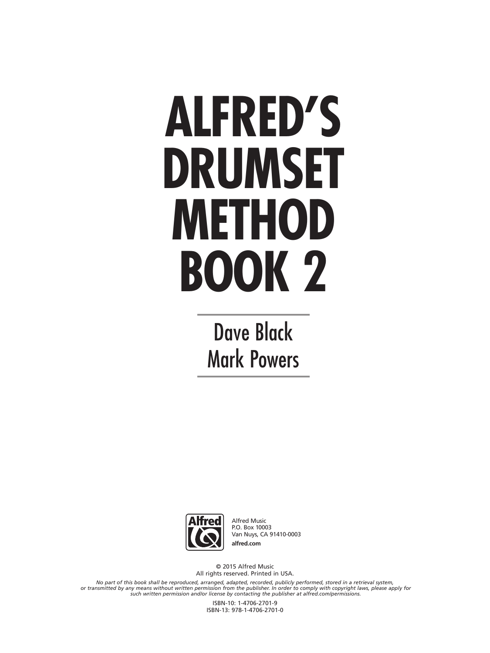# **ALFRED'S DRUMSET METHOD BOOK 2**

Dave Black Mark Powers



Alfred Music P.O. Box 10003 Van Nuys, CA 91410-0003 **alfred.com**

© 2015 Alfred Music All rights reserved. Printed in USA.

No part of this book shall be reproduced, arranged, adapted, recorded, publicly performed, stored in a retrieval system,<br>or transmitted by any means without written permission from the publisher. In order to comply with co

ISBN-10: 1-4706-2701-9 ISBN-13: 978-1-4706-2701-0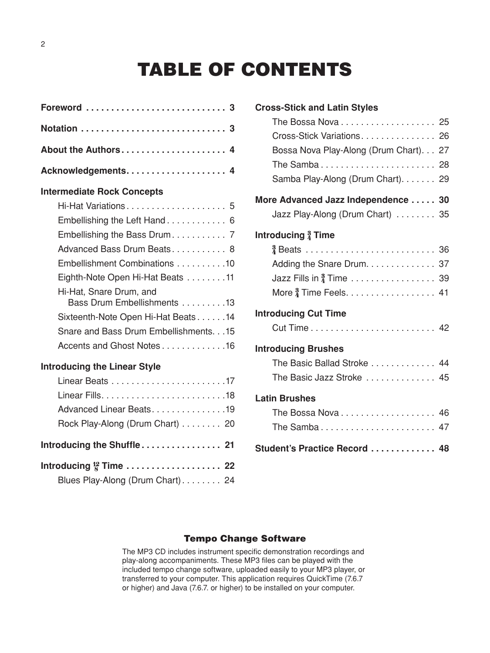## **TABLE OF CONTENTS**

| About the Authors 4                                    |
|--------------------------------------------------------|
|                                                        |
| <b>Intermediate Rock Concepts</b>                      |
| Hi-Hat Variations 5                                    |
| Embellishing the Left Hand 6                           |
| Embellishing the Bass Drum 7                           |
| Advanced Bass Drum Beats 8                             |
| Embellishment Combinations 10                          |
| Eighth-Note Open Hi-Hat Beats 11                       |
| Hi-Hat, Snare Drum, and<br>Bass Drum Embellishments 13 |
| Sixteenth-Note Open Hi-Hat Beats14                     |
| Snare and Bass Drum Embellishments. 15                 |
| Accents and Ghost Notes16                              |
| <b>Introducing the Linear Style</b>                    |
|                                                        |
|                                                        |
| Advanced Linear Beats. 19                              |
| Rock Play-Along (Drum Chart) 20                        |
| Introducing the Shuffle 21                             |
|                                                        |

Blues Play-Along (Drum Chart)........ 24

| <b>Cross-Stick and Latin Styles</b>    |  |
|----------------------------------------|--|
| The Bossa Nova 25                      |  |
| Cross-Stick Variations 26              |  |
| Bossa Nova Play-Along (Drum Chart). 27 |  |
| The Samba 28                           |  |
| Samba Play-Along (Drum Chart). 29      |  |
| More Advanced Jazz Independence 30     |  |
| Jazz Play-Along (Drum Chart)  35       |  |
| Introducing $\frac{3}{4}$ Time         |  |
|                                        |  |
| Adding the Snare Drum. 37              |  |
|                                        |  |
|                                        |  |
| <b>Introducing Cut Time</b>            |  |
|                                        |  |
| <b>Introducing Brushes</b>             |  |
| The Basic Ballad Stroke  44            |  |
| The Basic Jazz Stroke  45              |  |
| <b>Latin Brushes</b>                   |  |
| The Bossa Nova  46                     |  |
| The Samba 47                           |  |
| Student's Practice Record  48          |  |

#### **Tempo Change Software**

The MP3 CD includes instrument specific demonstration recordings and play-along accompaniments. These MP3 files can be played with the included tempo change software, uploaded easily to your MP3 player, or transferred to your computer. This application requires QuickTime (7.6.7 or higher) and Java (7.6.7. or higher) to be installed on your computer.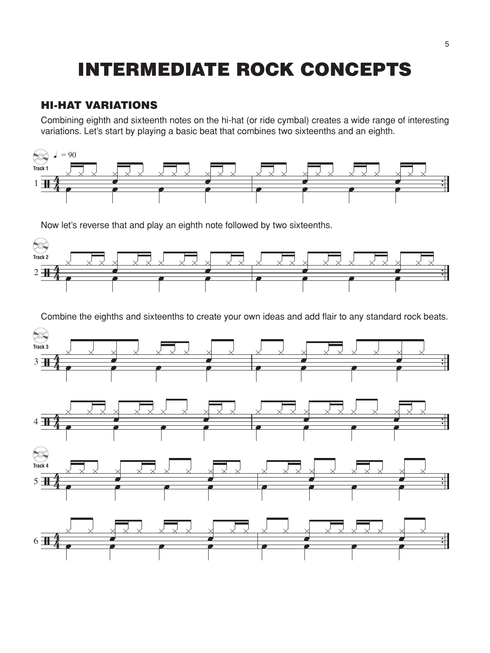## **INTERMEDIATE ROCK CONCEPTS**

#### **HI-HAT VARIATIONS**

Combining eighth and sixteenth notes on the hi-hat (or ride cymbal) creates a wide range of interesting variations. Let's start by playing a basic beat that combines two sixteenths and an eighth.



Now let's reverse that and play an eighth note followed by two sixteenths.



Combine the eighths and sixteenths to create your own ideas and add flair to any standard rock beats.